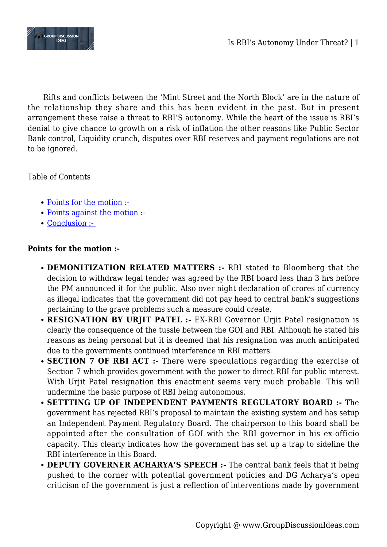

Rifts and conflicts between the 'Mint Street and the North Block' are in the nature of the relationship they share and this has been evident in the past. But in present arrangement these raise a threat to RBI'S autonomy. While the heart of the issue is RBI's denial to give chance to growth on a risk of inflation the other reasons like Public Sector Bank control, Liquidity crunch, disputes over RBI reserves and payment regulations are not to be ignored.

Table of Contents

- [Points for the motion :-](#page--1-0)
- [Points against the motion :-](#page--1-0)
- Conclusion :-

## **Points for the motion :-**

- **DEMONITIZATION RELATED MATTERS :-** RBI stated to Bloomberg that the decision to withdraw legal tender was agreed by the RBI board less than 3 hrs before the PM announced it for the public. Also over night declaration of crores of currency as illegal indicates that the government did not pay heed to central bank's suggestions pertaining to the grave problems such a measure could create.
- **RESIGNATION BY URJIT PATEL :-** EX-RBI Governor Urjit Patel resignation is clearly the consequence of the tussle between the GOI and RBI. Although he stated his reasons as being personal but it is deemed that his resignation was much anticipated due to the governments continued interference in RBI matters.
- **SECTION 7 OF RBI ACT :-** There were speculations regarding the exercise of Section 7 which provides government with the power to direct RBI for public interest. With Urjit Patel resignation this enactment seems very much probable. This will undermine the basic purpose of RBI being autonomous.
- **SETTTING UP OF INDEPENDENT PAYMENTS REGULATORY BOARD :-** The government has rejected RBI's proposal to maintain the existing system and has setup an Independent Payment Regulatory Board. The chairperson to this board shall be appointed after the consultation of GOI with the RBI governor in his ex-officio capacity. This clearly indicates how the government has set up a trap to sideline the RBI interference in this Board.
- **DEPUTY GOVERNER ACHARYA'S SPEECH :-** The central bank feels that it being pushed to the corner with potential government policies and DG Acharya's open criticism of the government is just a reflection of interventions made by government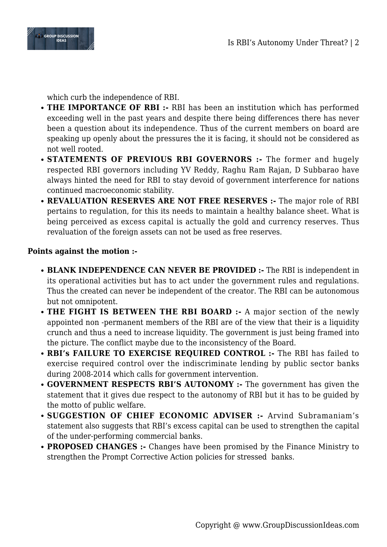

which curb the independence of RBI.

- **THE IMPORTANCE OF RBI :-** RBI has been an institution which has performed exceeding well in the past years and despite there being differences there has never been a question about its independence. Thus of the current members on board are speaking up openly about the pressures the it is facing, it should not be considered as not well rooted.
- **STATEMENTS OF PREVIOUS RBI GOVERNORS :-** The former and hugely respected RBI governors including YV Reddy, Raghu Ram Rajan, D Subbarao have always hinted the need for RBI to stay devoid of government interference for nations continued macroeconomic stability.
- **REVALUATION RESERVES ARE NOT FREE RESERVES :-** The major role of RBI pertains to regulation, for this its needs to maintain a healthy balance sheet. What is being perceived as excess capital is actually the gold and currency reserves. Thus revaluation of the foreign assets can not be used as free reserves.

## **Points against the motion :-**

- **BLANK INDEPENDENCE CAN NEVER BE PROVIDED :-** The RBI is independent in its operational activities but has to act under the government rules and regulations. Thus the created can never be independent of the creator. The RBI can be autonomous but not omnipotent.
- **THE FIGHT IS BETWEEN THE RBI BOARD :-** A major section of the newly appointed non -permanent members of the RBI are of the view that their is a liquidity crunch and thus a need to increase liquidity. The government is just being framed into the picture. The conflict maybe due to the inconsistency of the Board.
- **RBI's FAILURE TO EXERCISE REQUIRED CONTROL :-** The RBI has failed to exercise required control over the indiscriminate lending by public sector banks during 2008-2014 which calls for government intervention.
- **GOVERNMENT RESPECTS RBI'S AUTONOMY :-** The government has given the statement that it gives due respect to the autonomy of RBI but it has to be guided by the motto of public welfare.
- **SUGGESTION OF CHIEF ECONOMIC ADVISER :-** Arvind Subramaniam's statement also suggests that RBI's excess capital can be used to strengthen the capital of the under-performing commercial banks.
- **PROPOSED CHANGES :-** Changes have been promised by the Finance Ministry to strengthen the Prompt Corrective Action policies for stressed banks.